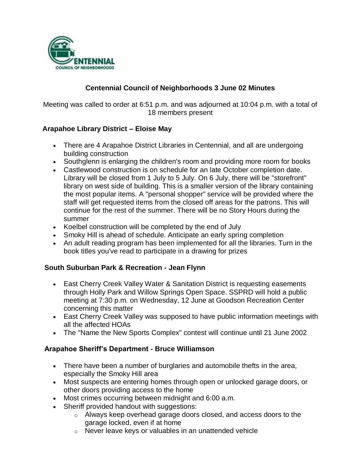

# **Centennial Council of Neighborhoods 3 June 02 Minutes**

Meeting was called to order at 6:51 p.m. and was adjourned at 10:04 p.m. with a total of 18 members present

## **Arapahoe Library District – Eloise May**

- There are 4 Arapahoe District Libraries in Centennial, and all are undergoing building construction
- Southglenn is enlarging the children's room and providing more room for books
- Castlewood construction is on schedule for an late October completion date. Library will be closed from 1 July to 5 July. On 6 July, there will be "storefront" library on west side of building. This is a smaller version of the library containing the most popular items. A "personal shopper" service will be provided where the staff will get requested items from the closed off areas for the patrons. This will continue for the rest of the summer. There will be no Story Hours during the summer
- Koelbel construction will be completed by the end of July
- Smoky Hill is ahead of schedule. Anticipate an early spring completion
- An adult reading program has been implemented for all the libraries. Turn in the book titles you've read to participate in a drawing for prizes

#### **South Suburban Park & Recreation - Jean Flynn**

- East Cherry Creek Valley Water & Sanitation District is requesting easements through Holly Park and Willow Springs Open Space. SSPRD will hold a public meeting at 7:30 p.m. on Wednesday, 12 June at Goodson Recreation Center concerning this matter
- East Cherry Creek Valley was supposed to have public information meetings with all the affected HOAs
- The "Name the New Sports Complex" contest will continue until 21 June 2002

#### **Arapahoe Sheriff's Department - Bruce Williamson**

- There have been a number of burglaries and automobile thefts in the area, especially the Smoky Hill area
- Most suspects are entering homes through open or unlocked garage doors, or other doors providing access to the home
- Most crimes occurring between midnight and 6:00 a.m.
- Sheriff provided handout with suggestions:
	- o Always keep overhead garage doors closed, and access doors to the garage locked, even if at home
	- o Never leave keys or valuables in an unattended vehicle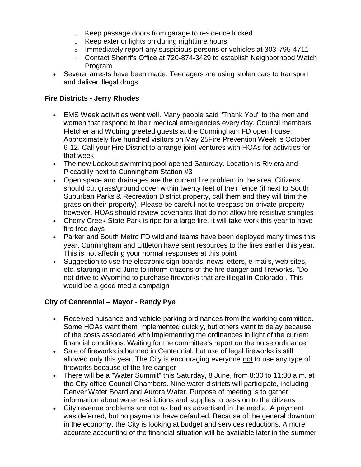- o Keep passage doors from garage to residence locked
- o Keep exterior lights on during nighttime hours
- o Immediately report any suspicious persons or vehicles at 303-795-4711
- $\circ$  Contact Sheriff's Office at 720-874-3429 to establish Neighborhood Watch Program
- Several arrests have been made. Teenagers are using stolen cars to transport and deliver illegal drugs

### **Fire Districts - Jerry Rhodes**

- EMS Week activities went well. Many people said "Thank You" to the men and women that respond to their medical emergencies every day. Council members Fletcher and Wotring greeted guests at the Cunningham FD open house. Approximately five hundred visitors on May 25Fire Prevention Week is October 6-12. Call your Fire District to arrange joint ventures with HOAs for activities for that week
- The new Lookout swimming pool opened Saturday. Location is Riviera and Piccadilly next to Cunningham Station #3
- Open space and drainages are the current fire problem in the area. Citizens should cut grass/ground cover within twenty feet of their fence (if next to South Suburban Parks & Recreation District property, call them and they will trim the grass on their property). Please be careful not to trespass on private property however. HOAs should review covenants that do not allow fire resistive shingles
- Cherry Creek State Park is ripe for a large fire. It will take work this year to have fire free days
- Parker and South Metro FD wildland teams have been deployed many times this year. Cunningham and Littleton have sent resources to the fires earlier this year. This is not affecting your normal responses at this point
- Suggestion to use the electronic sign boards, news letters, e-mails, web sites, etc. starting in mid June to inform citizens of the fire danger and fireworks. "Do not drive to Wyoming to purchase fireworks that are illegal in Colorado". This would be a good media campaign

## **City of Centennial – Mayor - Randy Pye**

- Received nuisance and vehicle parking ordinances from the working committee. Some HOAs want them implemented quickly, but others want to delay because of the costs associated with implementing the ordinances in light of the current financial conditions. Waiting for the committee's report on the noise ordinance
- Sale of fireworks is banned in Centennial, but use of legal fireworks is still allowed only this year. The City is encouraging everyone not to use any type of fireworks because of the fire danger
- There will be a "Water Summit" this Saturday, 8 June, from 8:30 to 11:30 a.m. at the City office Council Chambers. Nine water districts will participate, including Denver Water Board and Aurora Water. Purpose of meeting is to gather information about water restrictions and supplies to pass on to the citizens
- City revenue problems are not as bad as advertised in the media. A payment was deferred, but no payments have defaulted. Because of the general downturn in the economy, the City is looking at budget and services reductions. A more accurate accounting of the financial situation will be available later in the summer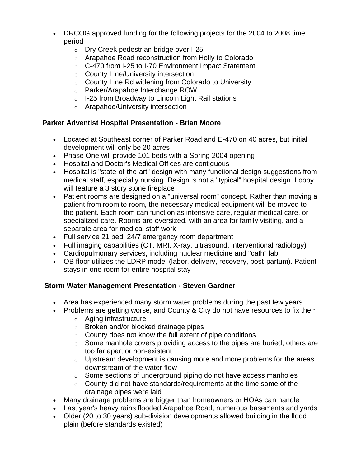- DRCOG approved funding for the following projects for the 2004 to 2008 time period
	- o Dry Creek pedestrian bridge over I-25
	- o Arapahoe Road reconstruction from Holly to Colorado
	- o C-470 from I-25 to I-70 Environment Impact Statement
	- o County Line/University intersection
	- o County Line Rd widening from Colorado to University
	- o Parker/Arapahoe Interchange ROW
	- o I-25 from Broadway to Lincoln Light Rail stations
	- o Arapahoe/University intersection

## **Parker Adventist Hospital Presentation - Brian Moore**

- Located at Southeast corner of Parker Road and E-470 on 40 acres, but initial development will only be 20 acres
- Phase One will provide 101 beds with a Spring 2004 opening
- Hospital and Doctor's Medical Offices are contiguous
- Hospital is "state-of-the-art" design with many functional design suggestions from medical staff, especially nursing. Design is not a "typical" hospital design. Lobby will feature a 3 story stone fireplace
- Patient rooms are designed on a "universal room" concept. Rather than moving a patient from room to room, the necessary medical equipment will be moved to the patient. Each room can function as intensive care, regular medical care, or specialized care. Rooms are oversized, with an area for family visiting, and a separate area for medical staff work
- Full service 21 bed, 24/7 emergency room department
- Full imaging capabilities (CT, MRI, X-ray, ultrasound, interventional radiology)
- Cardiopulmonary services, including nuclear medicine and "cath" lab
- OB floor utilizes the LDRP model (labor, delivery, recovery, post-partum). Patient stays in one room for entire hospital stay

# **Storm Water Management Presentation - Steven Gardner**

- Area has experienced many storm water problems during the past few years
- Problems are getting worse, and County & City do not have resources to fix them
	- o Aging infrastructure
	- o Broken and/or blocked drainage pipes
	- $\circ$  County does not know the full extent of pipe conditions
	- $\circ$  Some manhole covers providing access to the pipes are buried; others are too far apart or non-existent
	- $\circ$  Upstream development is causing more and more problems for the areas downstream of the water flow
	- $\circ$  Some sections of underground piping do not have access manholes
	- $\circ$  County did not have standards/requirements at the time some of the drainage pipes were laid
- Many drainage problems are bigger than homeowners or HOAs can handle
- Last year's heavy rains flooded Arapahoe Road, numerous basements and yards
- Older (20 to 30 years) sub-division developments allowed building in the flood plain (before standards existed)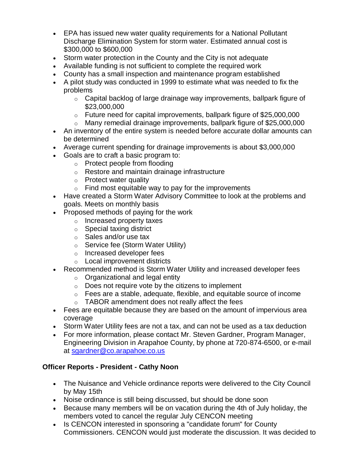- EPA has issued new water quality requirements for a National Pollutant Discharge Elimination System for storm water. Estimated annual cost is \$300,000 to \$600,000
- Storm water protection in the County and the City is not adequate
- Available funding is not sufficient to complete the required work
- County has a small inspection and maintenance program established
- A pilot study was conducted in 1999 to estimate what was needed to fix the problems
	- $\circ$  Capital backlog of large drainage way improvements, ballpark figure of \$23,000,000
	- $\circ$  Future need for capital improvements, ballpark figure of \$25,000,000
	- o Many remedial drainage improvements, ballpark figure of \$25,000,000
- An inventory of the entire system is needed before accurate dollar amounts can be determined
- Average current spending for drainage improvements is about \$3,000,000
- Goals are to craft a basic program to:
	- o Protect people from flooding
	- o Restore and maintain drainage infrastructure
	- o Protect water quality
	- $\circ$  Find most equitable way to pay for the improvements
- Have created a Storm Water Advisory Committee to look at the problems and goals. Meets on monthly basis
- Proposed methods of paying for the work
	- o Increased property taxes
	- o Special taxing district
	- o Sales and/or use tax
	- o Service fee (Storm Water Utility)
	- o Increased developer fees
	- o Local improvement districts
- Recommended method is Storm Water Utility and increased developer fees
	- $\circ$  Organizational and legal entity
	- o Does not require vote by the citizens to implement
	- $\circ$  Fees are a stable, adequate, flexible, and equitable source of income o TABOR amendment does not really affect the fees
- Fees are equitable because they are based on the amount of impervious area coverage
- Storm Water Utility fees are not a tax, and can not be used as a tax deduction
- For more information, please contact Mr. Steven Gardner, Program Manager, Engineering Division in Arapahoe County, by phone at 720-874-6500, or e-mail at [sgardner@co.arapahoe.co.us](mailto:sgardner@co.arapahoe.co.us)

## **Officer Reports - President - Cathy Noon**

- The Nuisance and Vehicle ordinance reports were delivered to the City Council by May 15th
- Noise ordinance is still being discussed, but should be done soon
- Because many members will be on vacation during the 4th of July holiday, the members voted to cancel the regular July CENCON meeting
- Is CENCON interested in sponsoring a "candidate forum" for County Commissioners. CENCON would just moderate the discussion. It was decided to